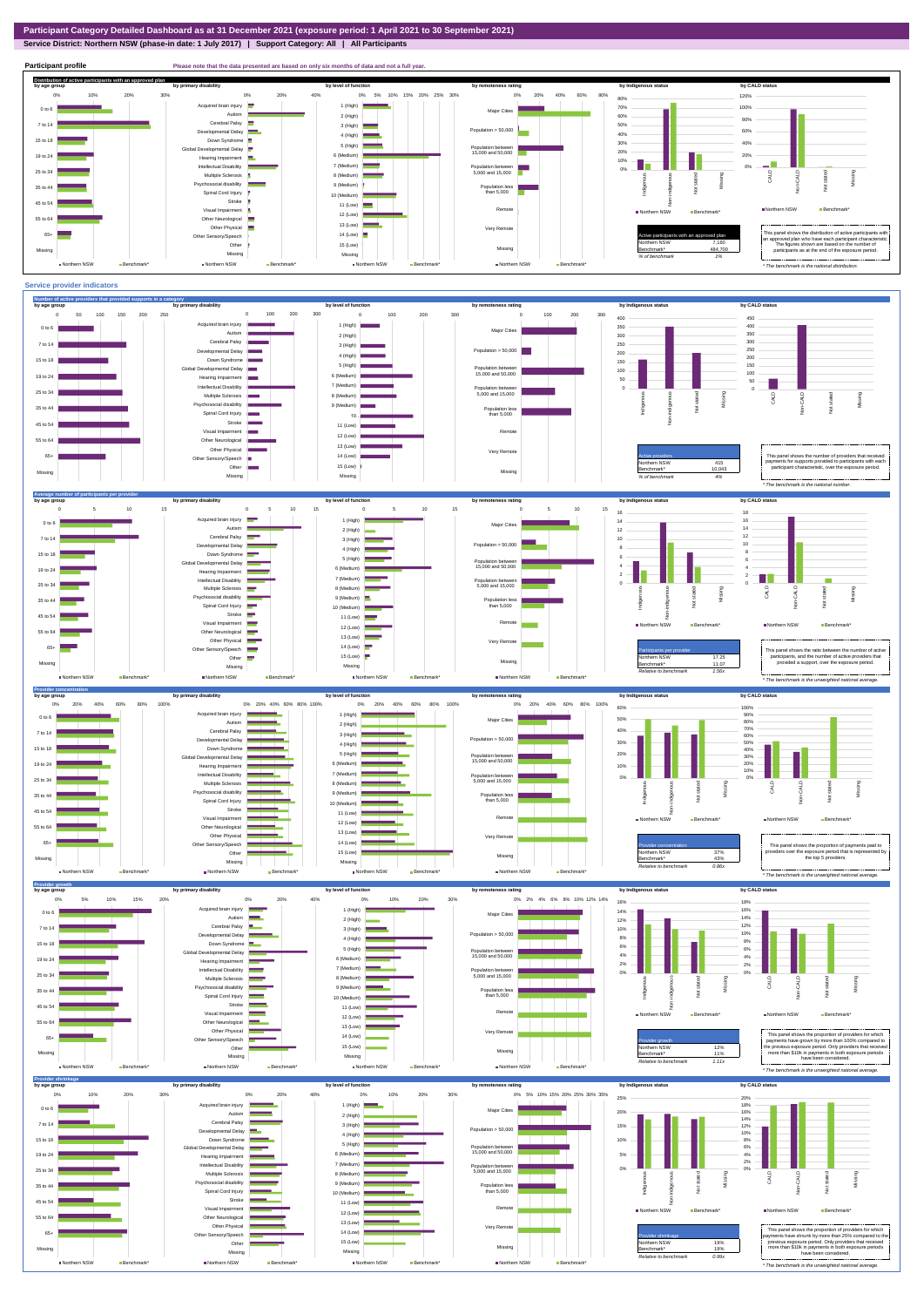**Service District: Northern NSW (phase-in date: 1 July 2017) | Support Category: All | All Participants**



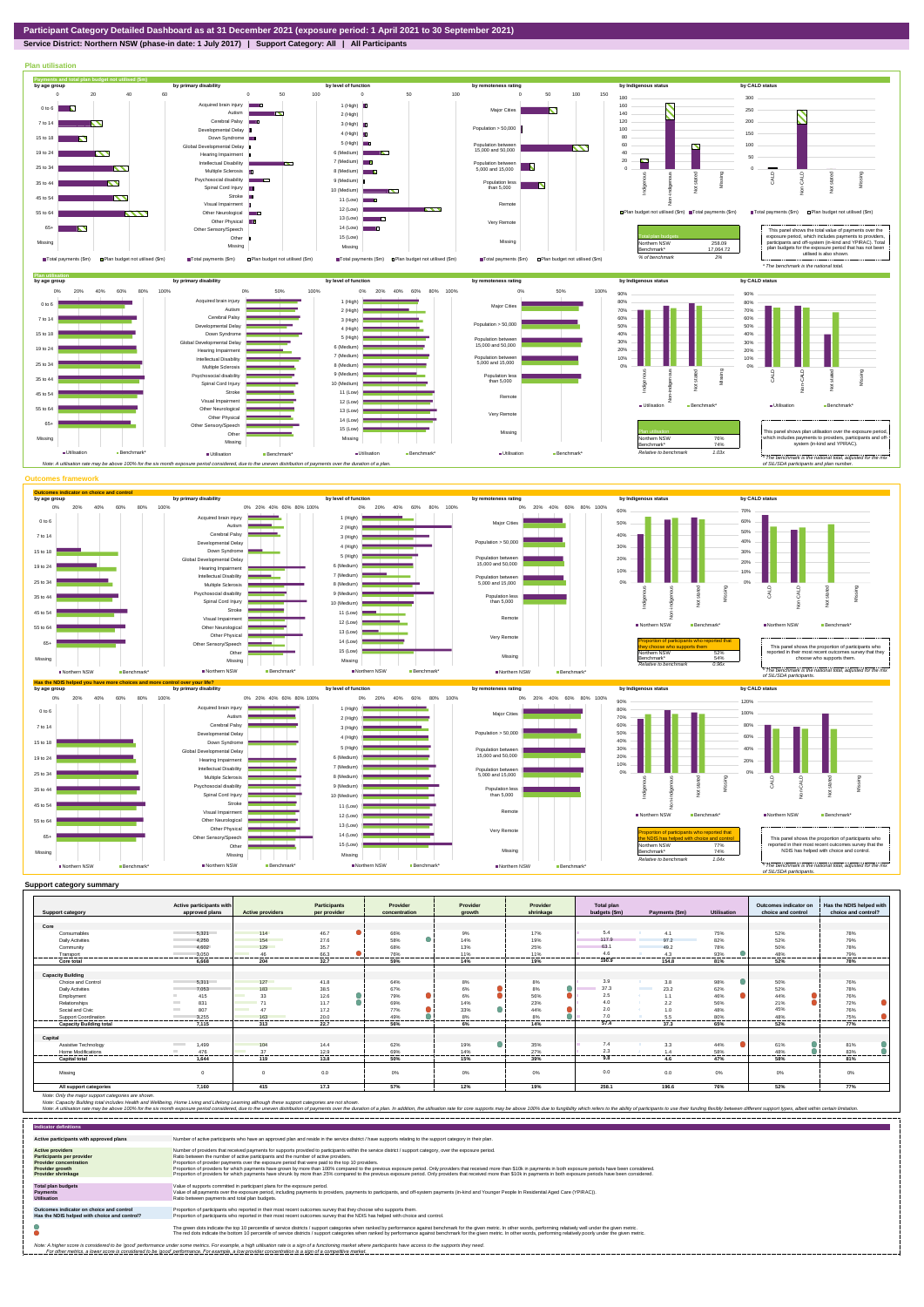## **Service District: Northern NSW (phase-in date: 1 July 2017) | Support Category: All | All Participants**



|                                | Active participants with          |                                                                                                                                       | <b>Participants</b> | Provider      | Provider              | Provider        | <b>Total plan</b> |                                  |                  | Outcomes indicator on | Has the NDIS helped with    |
|--------------------------------|-----------------------------------|---------------------------------------------------------------------------------------------------------------------------------------|---------------------|---------------|-----------------------|-----------------|-------------------|----------------------------------|------------------|-----------------------|-----------------------------|
| <b>Support category</b>        | approved plans                    | <b>Active providers</b>                                                                                                               | per provider        | concentration | arowth                | shrinkage       | budgets (\$m)     | Payments (\$m)                   | Utilisation      | choice and control    | choice and control?         |
|                                |                                   |                                                                                                                                       |                     |               |                       |                 |                   |                                  |                  |                       |                             |
| Core                           |                                   |                                                                                                                                       |                     |               |                       |                 |                   |                                  |                  |                       |                             |
| Consumables                    | 5.321                             | 114                                                                                                                                   | 46.7                | 66%           | 9%                    | 17%             | 5.4               | 4.1                              | 75%              | 52%                   | 78%                         |
| <b>Daily Activities</b>        | 4.250                             | 154                                                                                                                                   | 27.6                | 58%           | 14%                   | 19%             | 117.9             | 97.2                             | 82%              | 52%                   | 79%                         |
| Community                      | 4.602                             | 129                                                                                                                                   | 35.7                | 68%           | 13%                   | 25%             | 63.1              | 49.2                             | 78%              | 50%                   | 78%                         |
| Transport                      | 3.050                             | 46                                                                                                                                    | 66.3                | 76%           | 11%                   | 11%             | 4.6               | 4.3                              | 93%              | 48%                   | 79%                         |
| Core total                     | 6.668                             | 204                                                                                                                                   | 32.7                | 59%           | 14%                   | 19%             | 190.9             | 154.8                            | 81%              | 52%                   | 78%                         |
|                                |                                   |                                                                                                                                       |                     |               |                       |                 |                   |                                  |                  |                       |                             |
| <b>Capacity Building</b>       |                                   |                                                                                                                                       |                     |               |                       |                 |                   |                                  |                  |                       |                             |
| Choice and Control             | 5.311                             | 127                                                                                                                                   | 41.8                | 64%           | 8%                    | 8%              | 3.9               | 3.8                              | 98%              | 50%                   | 76%                         |
| <b>Daily Activities</b>        | 7,053                             | 183                                                                                                                                   | 38.5                | 67%           | 6%                    | 8%              | 37.3              | 23.2<br><b>Contract Contract</b> | 62%              | 52%                   | 78%                         |
| Employment                     | 415                               | 33                                                                                                                                    | 12.6                | 79%           | 6%                    | 56%             | 2.5               | 1.1                              | 46%              | 44%                   | 76%                         |
| Relationships                  | 831                               | 74<br>$\mathcal{L}^{\text{max}}_{\text{max}}$ and $\mathcal{L}^{\text{max}}_{\text{max}}$ and $\mathcal{L}^{\text{max}}_{\text{max}}$ | 11.7                | 69%           | 14%                   | 23%             | 4.0               | 2.2                              | 56%              | 21%                   | 72%                         |
| Social and Civic               | 807<br><b>College</b>             | <b>STATISTICS</b><br>$\Delta$ 7                                                                                                       | 17.2                | 77%           | 33%                   | 44%             | 2.0               | 1.0                              | 48%              | 45%                   | 76%                         |
| Support Coordination           | 3,255<br>------------             | 163<br>-----------------                                                                                                              | 20.0<br>---------   | 49%<br>       | 8%<br>----------<br>. | 8%<br>--------- | 7.0<br>           | 5.5<br>------------              | 80%<br>--------- | 48%<br>               | 75%<br>---------<br>------- |
| <b>Capacity Building total</b> | 7.115                             | 313                                                                                                                                   | 22.7                | 56%           | 6%                    | 14%             | 57.4              | 37.3                             | 65%              | 52%                   | 77%                         |
|                                |                                   |                                                                                                                                       |                     |               |                       |                 |                   |                                  |                  |                       |                             |
| Capital                        |                                   |                                                                                                                                       |                     |               |                       |                 |                   |                                  |                  |                       |                             |
| Assistive Technology           | <b>Contract Contract</b><br>1.499 | 104                                                                                                                                   | 14.4                | 62%           | 19%                   | 35%             | 7.4               | 3.3                              | 44%              | 61%                   | 81%                         |
| Home Modifications             | 476                               | 37                                                                                                                                    | 12.9                | 69%           | 14%                   | 27%             | 2.3<br>.          | 1.4                              | 58%              | 48%                   | 83%                         |
| <b>Capital total</b>           | 1.644                             | 119                                                                                                                                   | 13.8                | 50%           | 15%                   | 39%             | 9.8               | 4.6                              | 47%              | 58%                   | 81%                         |
|                                |                                   |                                                                                                                                       |                     |               |                       |                 |                   |                                  |                  |                       |                             |
| Missina                        | $\Omega$                          | $\Omega$                                                                                                                              | 0.0                 | 0%            | $0\%$                 | 0%              | 0.0               | 0.0                              | 0%               | 0%                    | 0%                          |
| All support categories         | 7.160                             | 415                                                                                                                                   | 17.3                | 57%           | 12%                   | 19%             | 258.1             | 196.6                            | 76%              | 52%                   | 77%                         |

Note: Only the major support categories are shown.<br>Note: Capacity Building total individual Wellbeing, Home Living and Lifelong Learning although these support categories are not shown.<br>Note: A utilisation rate may be abov

| <b>Indicator definitions</b>                                                                                                                        |                                                                                                                                                                                                                                                                                                                                                                                                                                                                                                                                                                                                                                                                                                                                                                                                                 |
|-----------------------------------------------------------------------------------------------------------------------------------------------------|-----------------------------------------------------------------------------------------------------------------------------------------------------------------------------------------------------------------------------------------------------------------------------------------------------------------------------------------------------------------------------------------------------------------------------------------------------------------------------------------------------------------------------------------------------------------------------------------------------------------------------------------------------------------------------------------------------------------------------------------------------------------------------------------------------------------|
| Active participants with approved plans                                                                                                             | Number of active participants who have an approved plan and reside in the service district / have supports relating to the support category in their plan.                                                                                                                                                                                                                                                                                                                                                                                                                                                                                                                                                                                                                                                      |
| <b>Active providers</b><br><b>Participants per provider</b><br><b>Provider concentration</b><br><b>Provider growth</b><br><b>Provider shrinkage</b> | Number of providers that received payments for supports provided to participants within the service district / support category, over the exposure period.<br>Ratio between the number of active participants and the number of active providers.<br>Proportion of provider payments over the exposure period that were paid to the top 10 providers.<br>Proportion of providers for which payments have grown by more than 100% compared to the previous exposure period. Only providers that received more than \$10k in payments in both exposure periods have been considered.<br>Proportion of providers for which payments have shrunk by more than 25% compared to the previous exposure period. Only providers that received more than \$10k in payments in both exposure periods have been considered. |
| <b>Total plan budgets</b><br><b>Payments</b><br><b>Utilisation</b>                                                                                  | Value of supports committed in participant plans for the exposure period.<br>Value of all payments over the exposure period, including payments to providers, payments to participants, and off-system payments (in-kind and Younger People In Residential Aged Care (YPIRAC)).<br>Ratio between payments and total plan budgets.                                                                                                                                                                                                                                                                                                                                                                                                                                                                               |
| Outcomes indicator on choice and control<br>Has the NDIS helped with choice and control?                                                            | Proportion of participants who reported in their most recent outcomes survey that they choose who supports them.<br>Proportion of participants who reported in their most recent outcomes survey that the NDIS has helped with choice and control.                                                                                                                                                                                                                                                                                                                                                                                                                                                                                                                                                              |
|                                                                                                                                                     | The green dots indicate the top 10 percentile of service districts / support categories when ranked by performance against benchmark for the given metric. In other words, performing relatively well under the given metric.<br>The red dots indicate the bottom 10 percentile of service districts / support categories when ranked by performance against benchmark for the given metric. In other words, performing relatively poorly under the given metri                                                                                                                                                                                                                                                                                                                                                 |
|                                                                                                                                                     | Note: A higher score is considered to be 'good' performance under some metrics. For example, a high utilisation rate is a sign of a functioning market where participants have access to the supports they need.<br>For other metrics, a lower score is considered to be 'good' performance. For example, a low provider concentration is a sign of a competitive market.                                                                                                                                                                                                                                                                                                                                                                                                                                       |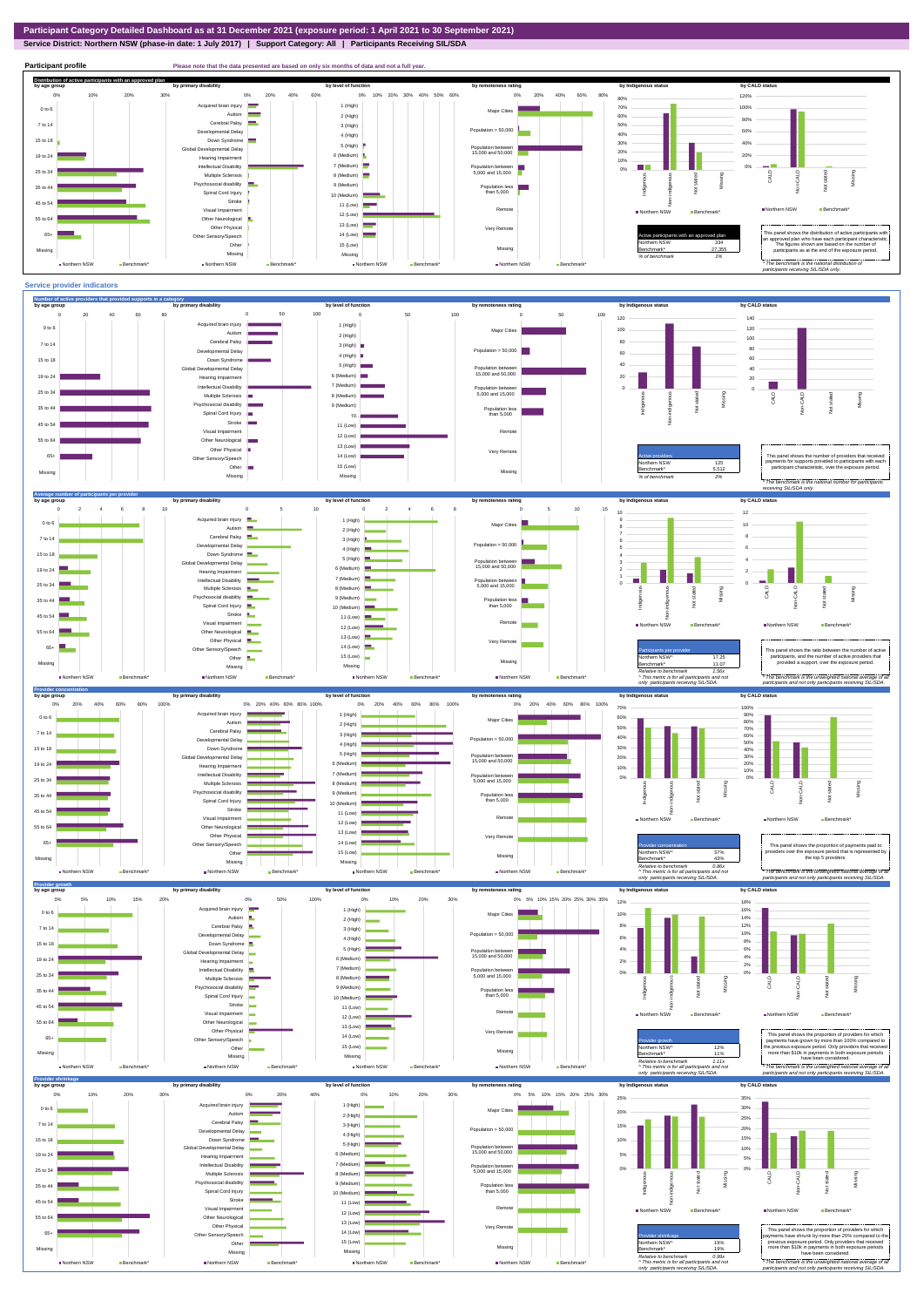

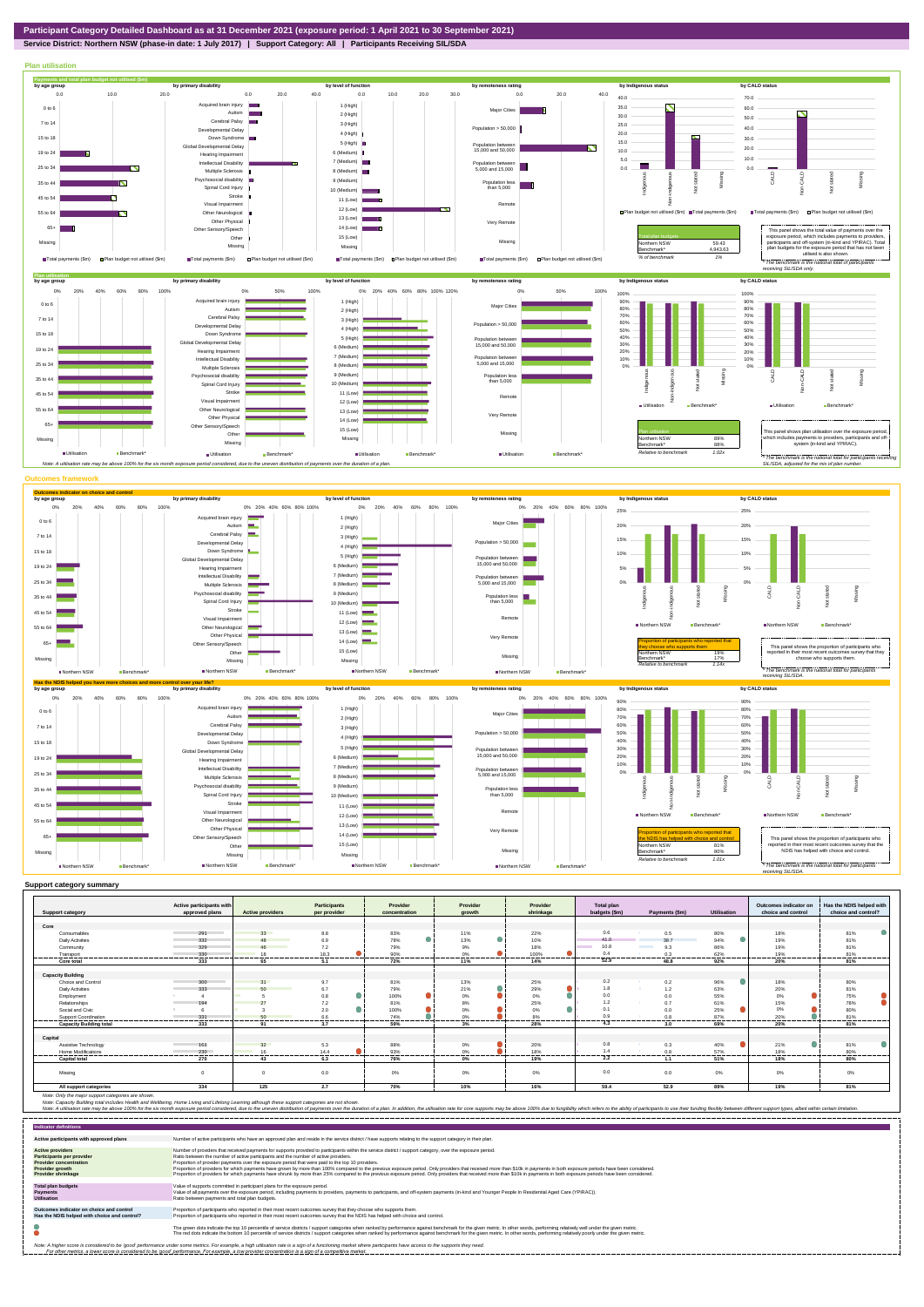

**Service District: Northern NSW (phase-in date: 1 July 2017) | Support Category: All | Participants Receiving SIL/SDA**



|                                | Active participants with |                         | <b>Participants</b>           | Provider      | Provider                      | Provider         | Total plan     |                    |             | Outcomes indicator on | Has the NDIS helped with |
|--------------------------------|--------------------------|-------------------------|-------------------------------|---------------|-------------------------------|------------------|----------------|--------------------|-------------|-----------------------|--------------------------|
| <b>Support category</b>        | approved plans           | <b>Active providers</b> | per provider                  | concentration | arowth                        | shrinkage        | budgets (\$m)  | Payments (\$m)     | Utilisation | choice and control    | choice and control?      |
| Core                           |                          |                         |                               |               |                               |                  |                |                    |             |                       |                          |
| Consumables                    | 291                      | 33                      | 8.8                           | 83%           | 11%                           | 22%              | 0.6            | 0.5                | 80%         | 18%                   | 81%                      |
| <b>Daily Activities</b>        | 332                      | 48                      | 6.9                           | 78%           | $\bullet$<br>13%              | 10%              | 41.0           | 38.7               | 94%         | 19%                   | 81%                      |
|                                |                          |                         |                               |               |                               |                  | 10.8           | <b>The Company</b> |             |                       |                          |
| Community                      | 329                      | 46                      | 7.2                           | 79%           | 9%                            | 18%              | $\Omega$       | 9.3                | 86%         | 19%                   | 81%                      |
| Transport                      | 330<br>--------------    | 18<br>-------           | 18.3<br>--------<br>--------- | 90%<br>.      | 0%<br>-----------<br>-------- | 100%<br>.<br>    | ---------      | 0.3<br>            | 62%<br>.    | 19%<br>--------       | 81%<br>                  |
| Core total                     | 333                      | 65                      | 5.1                           | 72%           | 11%                           | 14%              | 52.9           | 48.8               | 92%         | 20%                   | 81%                      |
|                                |                          |                         |                               |               |                               |                  |                |                    |             |                       |                          |
| <b>Capacity Building</b>       |                          |                         |                               |               |                               |                  |                |                    |             |                       |                          |
| Choice and Control             | 300                      | 31                      | 9.7                           | 81%           | 13%                           | 25%              | 0.2            | 0.2                | 96%         | 18%                   | 80%                      |
| Daily Activities               | 333                      | 50                      | 6.7                           | 79%           | $\bullet$<br>21%              | $\bullet$<br>29% | 1.8            | 1.2                | 63%         | 20%                   | 81%                      |
| Employment                     |                          |                         | 0.8                           | 100%          | $\bullet$<br>0%               | 0%               | 0.0            | 0.0                | 55%         | 0%                    | 75%                      |
| Relationships                  | 194                      |                         | 7.2                           | 81%           | 8%                            | 25%              | 1.2            | 0.7                | 61%         | 15%                   | 78%                      |
| Social and Civic               |                          |                         | 2.0                           | 100%          | 0%                            | 0%               | 0.1            | 0.0                | 25%         | 0%                    | 80%                      |
| Support Coordination           | 331                      | 50                      | 6.6                           | 74%           | 0%                            | 8%               | 0 <sup>o</sup> | 0.8                | 87%         | 20%                   | 81%                      |
| <b>Capacity Building total</b> | 333                      | 91                      | 3.7                           | 59%           | 3%                            | 28%              | 4.3            | 3.0                | 69%         | 20%                   | 81%                      |
|                                |                          |                         |                               |               |                               |                  |                |                    |             |                       |                          |
| Capital                        |                          |                         |                               |               |                               |                  |                |                    |             |                       |                          |
| Assistive Technology           | 168                      | 32                      | 5.3                           | 88%           | 0%                            | 20%              | 0.8            | 0.3                | 40%         | 21%                   | 81%                      |
| Home Modifications             | 230                      | 16                      | 14.4                          | 93%           | 0%                            | 18%              | 1.4            | 0.8                | 57%         | 18%                   | 80%                      |
| <b>Capital total</b>           | 270                      | 43                      | 6.3                           | 76%           | 0%                            | 19%              | 2.2            | 1.1                | 51%         | 18%                   | 80%                      |
|                                |                          |                         |                               |               |                               |                  |                |                    |             |                       |                          |
| Missina                        |                          | $\Omega$                | 0.0                           | 0%            | 0%                            | 0%               | 0.0            | 0.0                | $0\%$       | 0%                    | 0%                       |
| All support categories         | 334                      | 125                     | 2.7                           | 70%           | 10%                           | 16%              | 59.4           | 52.9               | 89%         | 19%                   | 81%                      |

Note: Only the major support categories are shown.<br>Note: Capacity Building total individual Wellbeing, Home Living and Lifelong Learning although these support categories are not shown.<br>Note: A utilisation rate may be abov

| <b>Indicator definitions</b>                                                                                                                        |                                                                                                                                                                                                                                                                                                                                                                                                                                                                                                                                                                                                                                                                                                                                                                                                                 |
|-----------------------------------------------------------------------------------------------------------------------------------------------------|-----------------------------------------------------------------------------------------------------------------------------------------------------------------------------------------------------------------------------------------------------------------------------------------------------------------------------------------------------------------------------------------------------------------------------------------------------------------------------------------------------------------------------------------------------------------------------------------------------------------------------------------------------------------------------------------------------------------------------------------------------------------------------------------------------------------|
| Active participants with approved plans                                                                                                             | Number of active participants who have an approved plan and reside in the service district / have supports relating to the support category in their plan.                                                                                                                                                                                                                                                                                                                                                                                                                                                                                                                                                                                                                                                      |
| <b>Active providers</b><br><b>Participants per provider</b><br><b>Provider concentration</b><br><b>Provider growth</b><br><b>Provider shrinkage</b> | Number of providers that received payments for supports provided to participants within the service district / support category, over the exposure period.<br>Ratio between the number of active participants and the number of active providers.<br>Proportion of provider payments over the exposure period that were paid to the top 10 providers.<br>Proportion of providers for which payments have grown by more than 100% compared to the previous exposure period. Only providers that received more than \$10k in payments in both exposure periods have been considered.<br>Proportion of providers for which payments have shrunk by more than 25% compared to the previous exposure period. Only providers that received more than \$10k in payments in both exposure periods have been considered. |
| <b>Total plan budgets</b><br><b>Payments</b><br><b>Utilisation</b>                                                                                  | Value of supports committed in participant plans for the exposure period.<br>Value of all payments over the exposure period, including payments to providers, payments to participants, and off-system payments (in-kind and Younger People In Residential Aged Care (YPIRAC)).<br>Ratio between payments and total plan budgets.                                                                                                                                                                                                                                                                                                                                                                                                                                                                               |
| Outcomes indicator on choice and control<br>Has the NDIS helped with choice and control?                                                            | Proportion of participants who reported in their most recent outcomes survey that they choose who supports them.<br>Proportion of participants who reported in their most recent outcomes survey that the NDIS has helped with choice and control.                                                                                                                                                                                                                                                                                                                                                                                                                                                                                                                                                              |
|                                                                                                                                                     | The green dots indicate the top 10 percentile of service districts / support categories when ranked by performance against benchmark for the given metric. In other words, performing relatively well under the given metric.<br>The red dots indicate the bottom 10 percentile of service districts / support categories when ranked by performance against benchmark for the given metric. In other words, performing relatively poorly under the given metri                                                                                                                                                                                                                                                                                                                                                 |
|                                                                                                                                                     | Note: A higher score is considered to be 'good' performance under some metrics. For example, a high utilisation rate is a sign of a functioning market where participants have access to the supports they need.<br>For other metrics, a lower score is considered to be 'good' performance. For example, a low provider concentration is a sign of a competitive market.                                                                                                                                                                                                                                                                                                                                                                                                                                       |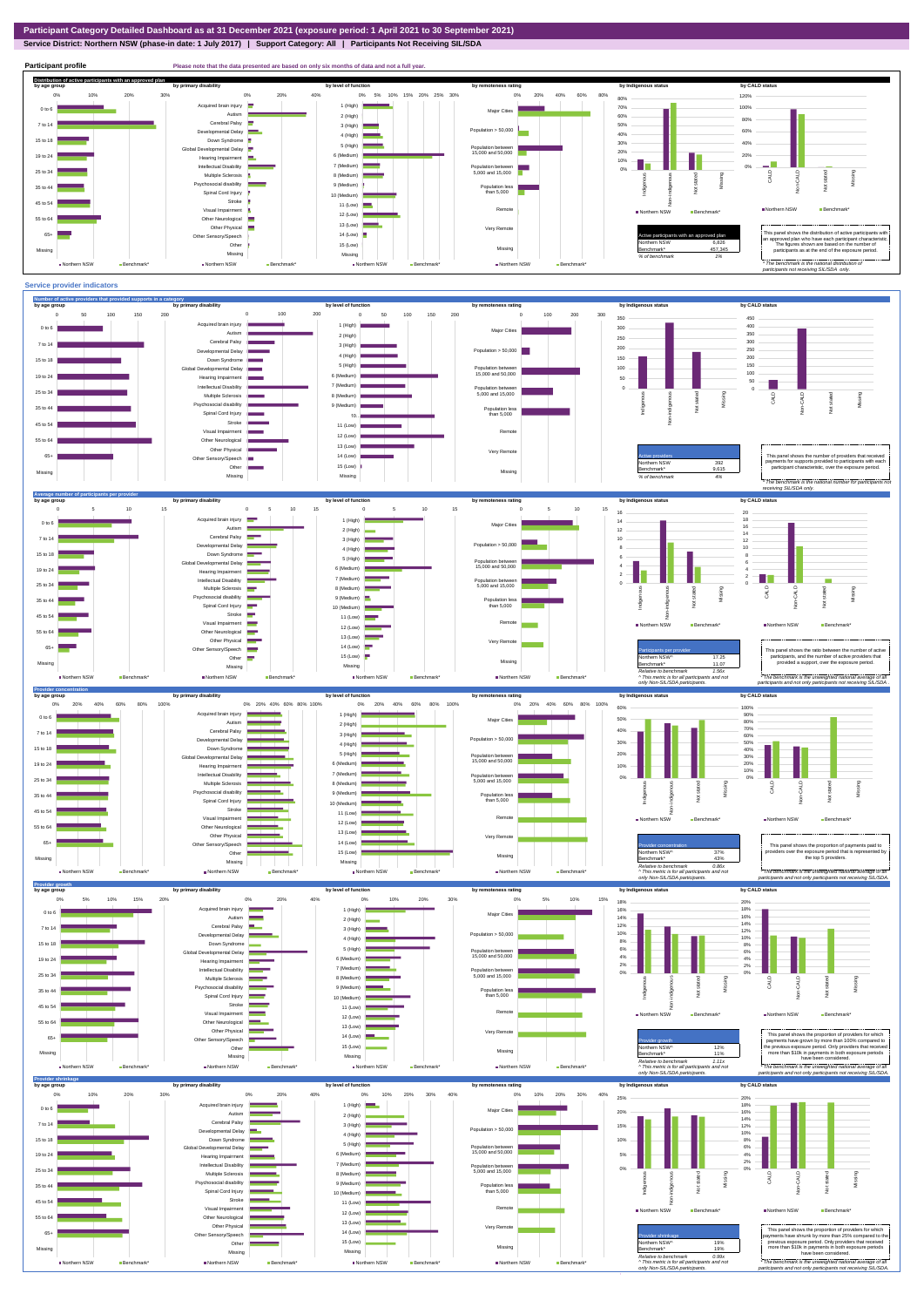**Service District: Northern NSW (phase-in date: 1 July 2017) | Support Category: All | Participants Not Receiving SIL/SDA**